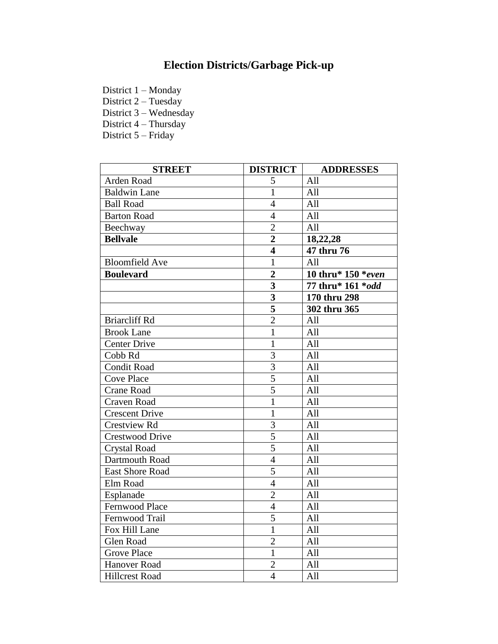## **Election Districts/Garbage Pick-up**

District 1 – Monday

District 2 – Tuesday

District 3 – Wednesday

District 4 – Thursday

District 5 – Friday

| <b>STREET</b>          | <b>DISTRICT</b>           | <b>ADDRESSES</b>   |
|------------------------|---------------------------|--------------------|
| Arden Road             | 5                         | All                |
| <b>Baldwin Lane</b>    | $\mathbf{1}$              | All                |
| <b>Ball Road</b>       | $\overline{4}$            | All                |
| <b>Barton Road</b>     | $\overline{4}$            | All                |
| Beechway               | $\overline{2}$            | All                |
| <b>Bellvale</b>        | $\overline{2}$            | 18,22,28           |
|                        | 4                         | 47 thru 76         |
| <b>Bloomfield Ave</b>  | $\mathbf{1}$              | All                |
| <b>Boulevard</b>       | $\overline{2}$            | 10 thru* 150 *even |
|                        | 3                         | 77 thru* 161 *odd  |
|                        | $\overline{\mathbf{3}}$   | 170 thru 298       |
|                        | $\overline{\overline{5}}$ | 302 thru 365       |
| <b>Briarcliff Rd</b>   | $\overline{2}$            | All                |
| <b>Brook Lane</b>      | $\mathbf{1}$              | All                |
| <b>Center Drive</b>    | $\mathbf{1}$              | A11                |
| Cobb Rd                | 3                         | All                |
| <b>Condit Road</b>     | 3                         | All                |
| <b>Cove Place</b>      | $\overline{5}$            | All                |
| <b>Crane Road</b>      | 5                         | All                |
| Craven Road            | 1                         | All                |
| <b>Crescent Drive</b>  | $\mathbf{1}$              | All                |
| <b>Crestview Rd</b>    | 3                         | All                |
| <b>Crestwood Drive</b> | $\overline{5}$            | All                |
| <b>Crystal Road</b>    | $\overline{5}$            | All                |
| Dartmouth Road         | $\overline{4}$            | All                |
| <b>East Shore Road</b> | $\overline{5}$            | All                |
| Elm Road               | $\overline{4}$            | A <sub>11</sub>    |
| Esplanade              | $\overline{2}$            | All                |
| Fernwood Place         | $\overline{4}$            | All                |
| Fernwood Trail         | 5                         | All                |
| Fox Hill Lane          | $\mathbf{1}$              | All                |
| Glen Road              | $\overline{2}$            | All                |
| <b>Grove Place</b>     | $\overline{1}$            | All                |
| <b>Hanover Road</b>    | $\overline{2}$            | All                |
| <b>Hillcrest Road</b>  | $\overline{4}$            | All                |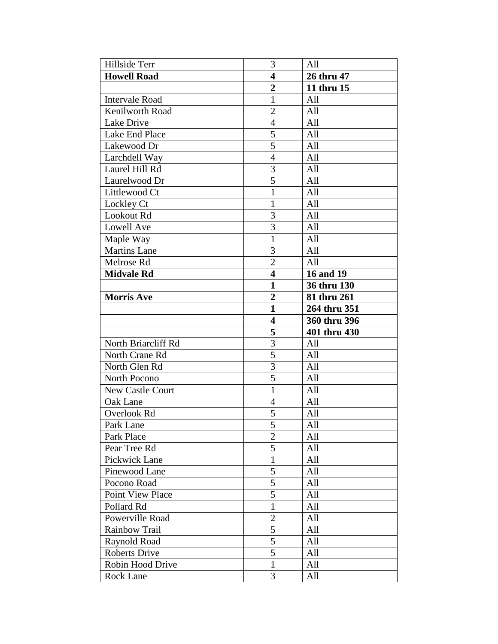| Hillside Terr           | 3                       | All          |
|-------------------------|-------------------------|--------------|
| <b>Howell Road</b>      | $\overline{\mathbf{4}}$ | 26 thru 47   |
|                         | $\overline{2}$          | 11 thru 15   |
| <b>Intervale Road</b>   | $\mathbf{1}$            | All          |
| Kenilworth Road         | $\overline{2}$          | All          |
| Lake Drive              | $\overline{4}$          | All          |
| Lake End Place          | 5                       | All          |
| Lakewood Dr             | $\overline{5}$          | All          |
| Larchdell Way           | $\overline{4}$          | All          |
| Laurel Hill Rd          | $\overline{3}$          | All          |
| Laurelwood Dr           | $\overline{5}$          | All          |
| Littlewood Ct           | 1                       | All          |
| Lockley Ct              | $\mathbf{1}$            | All          |
| Lookout Rd              | $\overline{3}$          | All          |
| Lowell Ave              | 3                       | All          |
| Maple Way               | $\mathbf{1}$            | All          |
| <b>Martins Lane</b>     | 3                       | All          |
| Melrose Rd              | $\overline{2}$          | All          |
| <b>Midvale Rd</b>       | $\overline{\mathbf{4}}$ | 16 and 19    |
|                         | $\mathbf{1}$            | 36 thru 130  |
| <b>Morris Ave</b>       | $\overline{2}$          | 81 thru 261  |
|                         | 1                       | 264 thru 351 |
|                         |                         |              |
|                         | $\overline{\mathbf{4}}$ | 360 thru 396 |
|                         | 5                       | 401 thru 430 |
| North Briarcliff Rd     | $\overline{3}$          | All          |
| North Crane Rd          | 5                       | All          |
| North Glen Rd           | $\overline{3}$          | All          |
| North Pocono            | 5                       | All          |
| New Castle Court        | $\mathbf{1}$            | All          |
| Oak Lane                | $\overline{4}$          | All          |
| Overlook Rd             | 5                       | All          |
| Park Lane               | $\overline{5}$          | All          |
| Park Place              | $\overline{2}$          | All          |
| Pear Tree Rd            | 5                       | All          |
| Pickwick Lane           | 1                       | All          |
| Pinewood Lane           | 5                       | All          |
| Pocono Road             | 5                       | All          |
| <b>Point View Place</b> | 5                       | All          |
| Pollard Rd              | $\mathbf{1}$            | All          |
| Powerville Road         | $\overline{2}$          | All          |
| Rainbow Trail           | 5                       | All          |
| Raynold Road            | 5                       | All          |
| <b>Roberts Drive</b>    | 5                       | All          |
| Robin Hood Drive        | 1                       | All          |